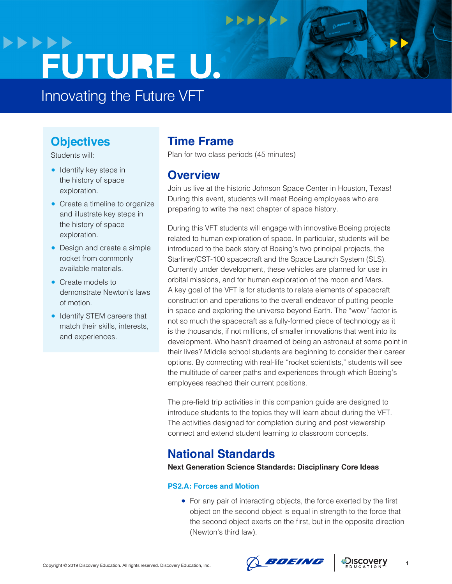## **>>>>>> FUTURE U.**

Innovating the Future VFT

#### **Objectives**

Students will:

- Identify key steps in the history of space exploration.
- Create a timeline to organize and illustrate key steps in the history of space exploration.
- Design and create a simple rocket from commonly available materials.
- Create models to demonstrate Newton's laws of motion.
- Identify STEM careers that match their skills, interests, and experiences.

#### **Time Frame**

Plan for two class periods (45 minutes)

**DODD** 

#### **Overview**

Join us live at the historic Johnson Space Center in Houston, Texas! During this event, students will meet Boeing employees who are preparing to write the next chapter of space history.

During this VFT students will engage with innovative Boeing projects related to human exploration of space. In particular, students will be introduced to the back story of Boeing's two principal projects, the Starliner/CST-100 spacecraft and the Space Launch System (SLS). Currently under development, these vehicles are planned for use in orbital missions, and for human exploration of the moon and Mars. A key goal of the VFT is for students to relate elements of spacecraft construction and operations to the overall endeavor of putting people in space and exploring the universe beyond Earth. The "wow" factor is not so much the spacecraft as a fully-formed piece of technology as it is the thousands, if not millions, of smaller innovations that went into its development. Who hasn't dreamed of being an astronaut at some point in their lives? Middle school students are beginning to consider their career options. By connecting with real-life "rocket scientists," students will see the multitude of career paths and experiences through which Boeing's employees reached their current positions.

The pre-field trip activities in this companion guide are designed to introduce students to the topics they will learn about during the VFT. The activities designed for completion during and post viewership connect and extend student learning to classroom concepts.

## **National Standards**

**Next Generation Science Standards: Disciplinary Core Ideas**

#### **PS2.A: Forces and Motion**

● For any pair of interacting objects, the force exerted by the first object on the second object is equal in strength to the force that the second object exerts on the first, but in the opposite direction (Newton's third law).



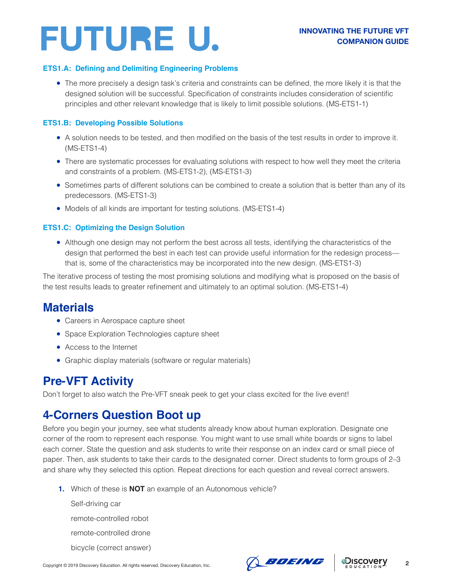#### **ETS1.A: Defining and Delimiting Engineering Problems**

● The more precisely a design task's criteria and constraints can be defined, the more likely it is that the designed solution will be successful. Specification of constraints includes consideration of scientific principles and other relevant knowledge that is likely to limit possible solutions. (MS-ETS1-1)

#### **ETS1.B: Developing Possible Solutions**

- A solution needs to be tested, and then modified on the basis of the test results in order to improve it. (MS-ETS1-4)
- There are systematic processes for evaluating solutions with respect to how well they meet the criteria and constraints of a problem. (MS-ETS1-2), (MS-ETS1-3)
- Sometimes parts of different solutions can be combined to create a solution that is better than any of its predecessors. (MS-ETS1-3)
- Models of all kinds are important for testing solutions. (MS-ETS1-4)

#### **ETS1.C: Optimizing the Design Solution**

● Although one design may not perform the best across all tests, identifying the characteristics of the design that performed the best in each test can provide useful information for the redesign process that is, some of the characteristics may be incorporated into the new design. (MS-ETS1-3)

The iterative process of testing the most promising solutions and modifying what is proposed on the basis of the test results leads to greater refinement and ultimately to an optimal solution. (MS-ETS1-4)

### **Materials**

- Careers in Aerospace capture sheet
- Space Exploration Technologies capture sheet
- Access to the Internet
- Graphic display materials (software or regular materials)

### **Pre-VFT Activity**

Don't forget to also watch the Pre-VFT sneak peek to get your class excited for the live event!

#### **4-Corners Question Boot up**

Before you begin your journey, see what students already know about human exploration. Designate one corner of the room to represent each response. You might want to use small white boards or signs to label each corner. State the question and ask students to write their response on an index card or small piece of paper. Then, ask students to take their cards to the designated corner. Direct students to form groups of 2–3 and share why they selected this option. Repeat directions for each question and reveal correct answers.

**1.** Which of these is **NOT** an example of an Autonomous vehicle?

Self-driving car remote-controlled robot remote-controlled drone bicycle (correct answer)



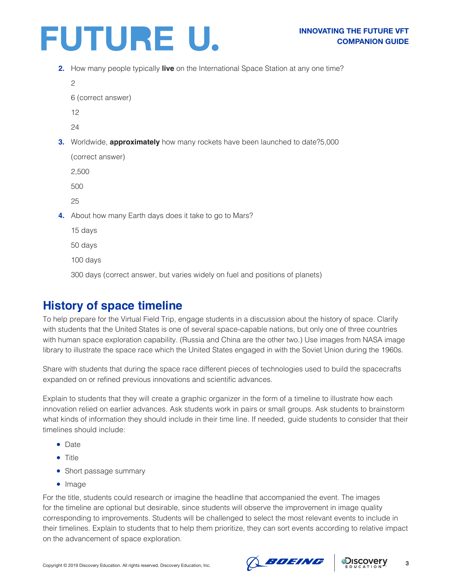

**2.** How many people typically **live** on the International Space Station at any one time?

```
\mathfrak{p}6 (correct answer)
12
```
24

**3.** Worldwide, **approximately** how many rockets have been launched to date?5,000

(correct answer)

2,500

500

25

**4.** About how many Earth days does it take to go to Mars?

15 days

50 days

100 days

300 days (correct answer, but varies widely on fuel and positions of planets)

#### **History of space timeline**

To help prepare for the Virtual Field Trip, engage students in a discussion about the history of space. Clarify with students that the United States is one of several space-capable nations, but only one of three countries with human space exploration capability. (Russia and China are the other two.) Use images from NASA image library to illustrate the space race which the United States engaged in with the Soviet Union during the 1960s.

Share with students that during the space race different pieces of technologies used to build the spacecrafts expanded on or refined previous innovations and scientific advances.

Explain to students that they will create a graphic organizer in the form of a timeline to illustrate how each innovation relied on earlier advances. Ask students work in pairs or small groups. Ask students to brainstorm what kinds of information they should include in their time line. If needed, guide students to consider that their timelines should include:

- Date
- Title
- Short passage summary
- Image

For the title, students could research or imagine the headline that accompanied the event. The images for the timeline are optional but desirable, since students will observe the improvement in image quality corresponding to improvements. Students will be challenged to select the most relevant events to include in their timelines. Explain to students that to help them prioritize, they can sort events according to relative impact on the advancement of space exploration.

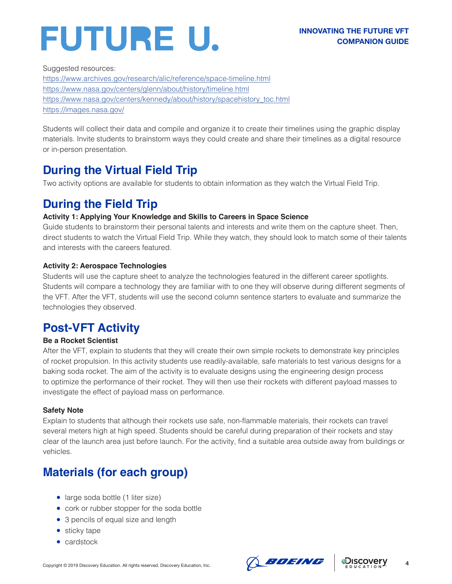Suggested resources:

<https://www.archives.gov/research/alic/reference/space-timeline.html> <https://www.nasa.gov/centers/glenn/about/history/timeline.html> [https://www.nasa.gov/centers/kennedy/about/history/spacehistory\\_toc.html](https://www.nasa.gov/centers/kennedy/about/history/spacehistory_toc.html) <https://images.nasa.gov/>

Students will collect their data and compile and organize it to create their timelines using the graphic display materials. Invite students to brainstorm ways they could create and share their timelines as a digital resource or in-person presentation.

## **During the Virtual Field Trip**

Two activity options are available for students to obtain information as they watch the Virtual Field Trip.

## **During the Field Trip**

#### **Activity 1: Applying Your Knowledge and Skills to Careers in Space Science**

Guide students to brainstorm their personal talents and interests and write them on the capture sheet. Then, direct students to watch the Virtual Field Trip. While they watch, they should look to match some of their talents and interests with the careers featured.

#### **Activity 2: Aerospace Technologies**

Students will use the capture sheet to analyze the technologies featured in the different career spotlights. Students will compare a technology they are familiar with to one they will observe during different segments of the VFT. After the VFT, students will use the second column sentence starters to evaluate and summarize the technologies they observed.

## **Post-VFT Activity**

#### **Be a Rocket Scientist**

After the VFT, explain to students that they will create their own simple rockets to demonstrate key principles of rocket propulsion. In this activity students use readily-available, safe materials to test various designs for a baking soda rocket. The aim of the activity is to evaluate designs using the engineering design process to optimize the performance of their rocket. They will then use their rockets with different payload masses to investigate the effect of payload mass on performance.

#### **Safety Note**

Explain to students that although their rockets use safe, non-flammable materials, their rockets can travel several meters high at high speed. Students should be careful during preparation of their rockets and stay clear of the launch area just before launch. For the activity, find a suitable area outside away from buildings or vehicles.

## **Materials (for each group)**

- large soda bottle (1 liter size)
- cork or rubber stopper for the soda bottle
- 3 pencils of equal size and length
- sticky tape
- cardstock



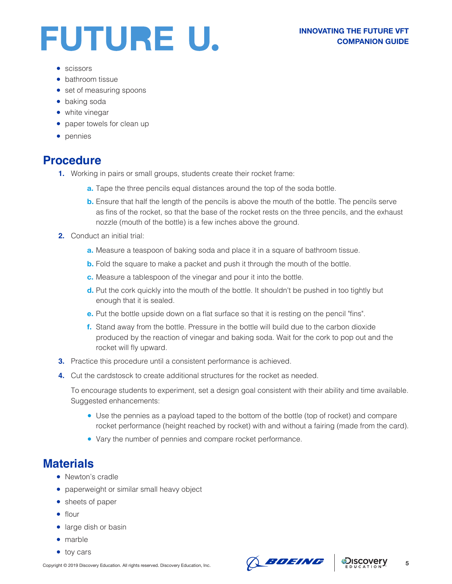- scissors
- bathroom tissue
- set of measuring spoons
- baking soda
- white vinegar
- paper towels for clean up
- pennies

### **Procedure**

- **1.** Working in pairs or small groups, students create their rocket frame:
	- **a.** Tape the three pencils equal distances around the top of the soda bottle.
	- **b.** Ensure that half the length of the pencils is above the mouth of the bottle. The pencils serve as fins of the rocket, so that the base of the rocket rests on the three pencils, and the exhaust nozzle (mouth of the bottle) is a few inches above the ground.
- **2.** Conduct an initial trial:
	- **a.** Measure a teaspoon of baking soda and place it in a square of bathroom tissue.
	- **b.** Fold the square to make a packet and push it through the mouth of the bottle.
	- **c.** Measure a tablespoon of the vinegar and pour it into the bottle.
	- **d.** Put the cork quickly into the mouth of the bottle. It shouldn't be pushed in too tightly but enough that it is sealed.
	- **e.** Put the bottle upside down on a flat surface so that it is resting on the pencil "fins".
	- **f.** Stand away from the bottle. Pressure in the bottle will build due to the carbon dioxide produced by the reaction of vinegar and baking soda. Wait for the cork to pop out and the rocket will fly upward.
- **3.** Practice this procedure until a consistent performance is achieved.
- **4.** Cut the cardstosck to create additional structures for the rocket as needed.

To encourage students to experiment, set a design goal consistent with their ability and time available. Suggested enhancements:

- Use the pennies as a payload taped to the bottom of the bottle (top of rocket) and compare rocket performance (height reached by rocket) with and without a fairing (made from the card).
- Vary the number of pennies and compare rocket performance.

### **Materials**

- Newton's cradle
- paperweight or similar small heavy object
- sheets of paper
- flour
- large dish or basin
- marble
- toy cars



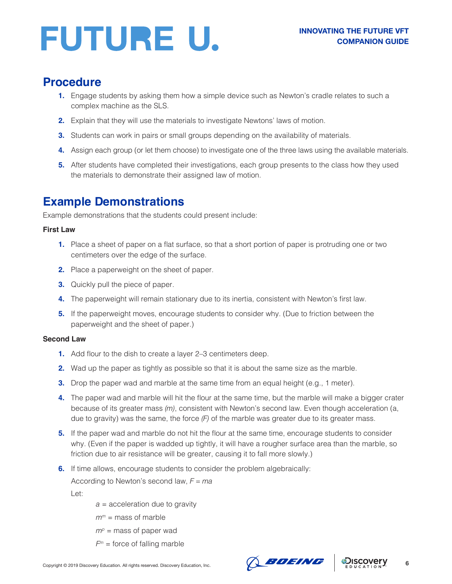#### **Procedure**

- **1.** Engage students by asking them how a simple device such as Newton's cradle relates to such a complex machine as the SLS.
- **2.** Explain that they will use the materials to investigate Newtons' laws of motion.
- **3.** Students can work in pairs or small groups depending on the availability of materials.
- **4.** Assign each group (or let them choose) to investigate one of the three laws using the available materials.
- **5.** After students have completed their investigations, each group presents to the class how they used the materials to demonstrate their assigned law of motion.

## **Example Demonstrations**

Example demonstrations that the students could present include:

#### **First Law**

- **1.** Place a sheet of paper on a flat surface, so that a short portion of paper is protruding one or two centimeters over the edge of the surface.
- **2.** Place a paperweight on the sheet of paper.
- **3.** Quickly pull the piece of paper.
- **4.** The paperweight will remain stationary due to its inertia, consistent with Newton's first law.
- **5.** If the paperweight moves, encourage students to consider why. (Due to friction between the paperweight and the sheet of paper.)

#### **Second Law**

- **1.** Add flour to the dish to create a layer 2–3 centimeters deep.
- **2.** Wad up the paper as tightly as possible so that it is about the same size as the marble.
- **3.** Drop the paper wad and marble at the same time from an equal height (e.g., 1 meter).
- **4.** The paper wad and marble will hit the flour at the same time, but the marble will make a bigger crater because of its greater mass *(m)*, consistent with Newton's second law. Even though acceleration (a, due to gravity) was the same, the force *(F)* of the marble was greater due to its greater mass.
- **5.** If the paper wad and marble do not hit the flour at the same time, encourage students to consider why. (Even if the paper is wadded up tightly, it will have a rougher surface area than the marble, so friction due to air resistance will be greater, causing it to fall more slowly.)
- **6.** If time allows, encourage students to consider the problem algebraically:

According to Newton's second law, *F = ma*

Let:

- *a* = acceleration due to gravity
- $m<sup>m</sup>$  = mass of marble
- $m<sup>p</sup>$  = mass of paper wad
- $F<sup>m</sup>$  = force of falling marble



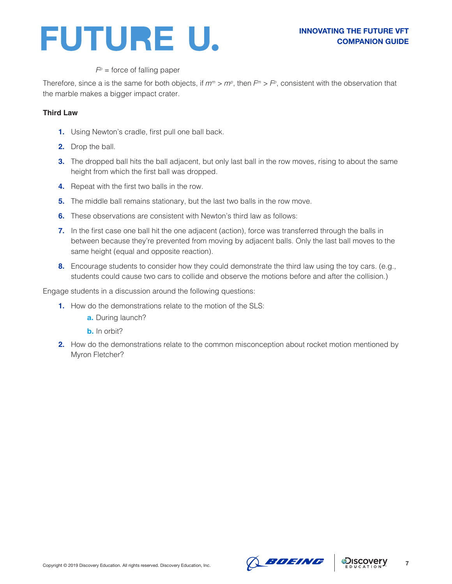

#### $F<sup>p</sup>$  = force of falling paper

Therefore, since a is the same for both objects, if  $m^m > m^p$ , then  $F^m > F^p$ , consistent with the observation that the marble makes a bigger impact crater.

#### **Third Law**

- **1.** Using Newton's cradle, first pull one ball back.
- **2.** Drop the ball.
- **3.** The dropped ball hits the ball adjacent, but only last ball in the row moves, rising to about the same height from which the first ball was dropped.
- **4.** Repeat with the first two balls in the row.
- **5.** The middle ball remains stationary, but the last two balls in the row move.
- **6.** These observations are consistent with Newton's third law as follows:
- **7.** In the first case one ball hit the one adjacent (action), force was transferred through the balls in between because they're prevented from moving by adjacent balls. Only the last ball moves to the same height (equal and opposite reaction).
- **8.** Encourage students to consider how they could demonstrate the third law using the toy cars. (e.g., students could cause two cars to collide and observe the motions before and after the collision.)

Engage students in a discussion around the following questions:

- **1.** How do the demonstrations relate to the motion of the SLS:
	- **a.** During launch?
	- **b.** In orbit?
- **2.** How do the demonstrations relate to the common misconception about rocket motion mentioned by Myron Fletcher?





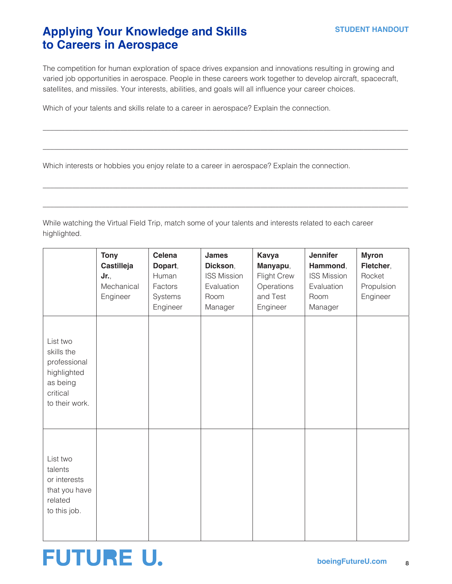### **Applying Your Knowledge and Skills to Careers in Aerospace**

The competition for human exploration of space drives expansion and innovations resulting in growing and varied job opportunities in aerospace. People in these careers work together to develop aircraft, spacecraft, satellites, and missiles. Your interests, abilities, and goals will all influence your career choices.

\_\_\_\_\_\_\_\_\_\_\_\_\_\_\_\_\_\_\_\_\_\_\_\_\_\_\_\_\_\_\_\_\_\_\_\_\_\_\_\_\_\_\_\_\_\_\_\_\_\_\_\_\_\_\_\_\_\_\_\_\_\_\_\_\_\_\_\_\_\_\_\_\_\_\_\_\_\_\_\_\_\_\_\_\_\_\_\_\_\_\_\_\_\_\_\_\_\_\_

 $\_$  ,  $\_$  ,  $\_$  ,  $\_$  ,  $\_$  ,  $\_$  ,  $\_$  ,  $\_$  ,  $\_$  ,  $\_$  ,  $\_$  ,  $\_$  ,  $\_$  ,  $\_$  ,  $\_$  ,  $\_$  ,  $\_$  ,  $\_$  ,  $\_$  ,  $\_$  ,  $\_$  ,  $\_$  ,  $\_$  ,  $\_$  ,  $\_$  ,  $\_$  ,  $\_$  ,  $\_$  ,  $\_$  ,  $\_$  ,  $\_$  ,  $\_$  ,  $\_$  ,  $\_$  ,  $\_$  ,  $\_$  ,  $\_$  ,

\_\_\_\_\_\_\_\_\_\_\_\_\_\_\_\_\_\_\_\_\_\_\_\_\_\_\_\_\_\_\_\_\_\_\_\_\_\_\_\_\_\_\_\_\_\_\_\_\_\_\_\_\_\_\_\_\_\_\_\_\_\_\_\_\_\_\_\_\_\_\_\_\_\_\_\_\_\_\_\_\_\_\_\_\_\_\_\_\_\_\_\_\_\_\_\_\_\_\_

 $\_$  ,  $\_$  ,  $\_$  ,  $\_$  ,  $\_$  ,  $\_$  ,  $\_$  ,  $\_$  ,  $\_$  ,  $\_$  ,  $\_$  ,  $\_$  ,  $\_$  ,  $\_$  ,  $\_$  ,  $\_$  ,  $\_$  ,  $\_$  ,  $\_$  ,  $\_$  ,  $\_$  ,  $\_$  ,  $\_$  ,  $\_$  ,  $\_$  ,  $\_$  ,  $\_$  ,  $\_$  ,  $\_$  ,  $\_$  ,  $\_$  ,  $\_$  ,  $\_$  ,  $\_$  ,  $\_$  ,  $\_$  ,  $\_$  ,

Which of your talents and skills relate to a career in aerospace? Explain the connection.

Which interests or hobbies you enjoy relate to a career in aerospace? Explain the connection.

While watching the Virtual Field Trip, match some of your talents and interests related to each career highlighted.

|                                                                                                 | <b>Tony</b><br>Castilleja<br>Jr.,<br>Mechanical<br>Engineer | Celena<br>Dopart,<br>Human<br>Factors<br>Systems<br>Engineer | James<br>Dickson,<br><b>ISS Mission</b><br>Evaluation<br>Room<br>Manager | <b>Kavya</b><br>Manyapu,<br>Flight Crew<br>Operations<br>and Test<br>Engineer | <b>Jennifer</b><br>Hammond,<br><b>ISS Mission</b><br>Evaluation<br>Room<br>Manager | <b>Myron</b><br>Fletcher,<br>Rocket<br>Propulsion<br>Engineer |
|-------------------------------------------------------------------------------------------------|-------------------------------------------------------------|--------------------------------------------------------------|--------------------------------------------------------------------------|-------------------------------------------------------------------------------|------------------------------------------------------------------------------------|---------------------------------------------------------------|
| List two<br>skills the<br>professional<br>highlighted<br>as being<br>critical<br>to their work. |                                                             |                                                              |                                                                          |                                                                               |                                                                                    |                                                               |
| List two<br>talents<br>or interests<br>that you have<br>related<br>to this job.                 |                                                             |                                                              |                                                                          |                                                                               |                                                                                    |                                                               |

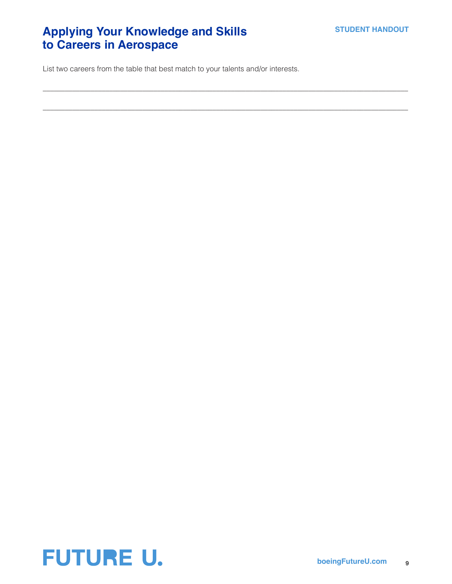## **Applying Your Knowledge and Skills to Careers in Aerospace**

List two careers from the table that best match to your talents and/or interests.

 $\_$  ,  $\_$  ,  $\_$  ,  $\_$  ,  $\_$  ,  $\_$  ,  $\_$  ,  $\_$  ,  $\_$  ,  $\_$  ,  $\_$  ,  $\_$  ,  $\_$  ,  $\_$  ,  $\_$  ,  $\_$  ,  $\_$  ,  $\_$  ,  $\_$  ,  $\_$  ,  $\_$  ,  $\_$  ,  $\_$  ,  $\_$  ,  $\_$  ,  $\_$  ,  $\_$  ,  $\_$  ,  $\_$  ,  $\_$  ,  $\_$  ,  $\_$  ,  $\_$  ,  $\_$  ,  $\_$  ,  $\_$  ,  $\_$  ,

\_\_\_\_\_\_\_\_\_\_\_\_\_\_\_\_\_\_\_\_\_\_\_\_\_\_\_\_\_\_\_\_\_\_\_\_\_\_\_\_\_\_\_\_\_\_\_\_\_\_\_\_\_\_\_\_\_\_\_\_\_\_\_\_\_\_\_\_\_\_\_\_\_\_\_\_\_\_\_\_\_\_\_\_\_\_\_\_\_\_\_\_\_\_\_\_\_\_\_